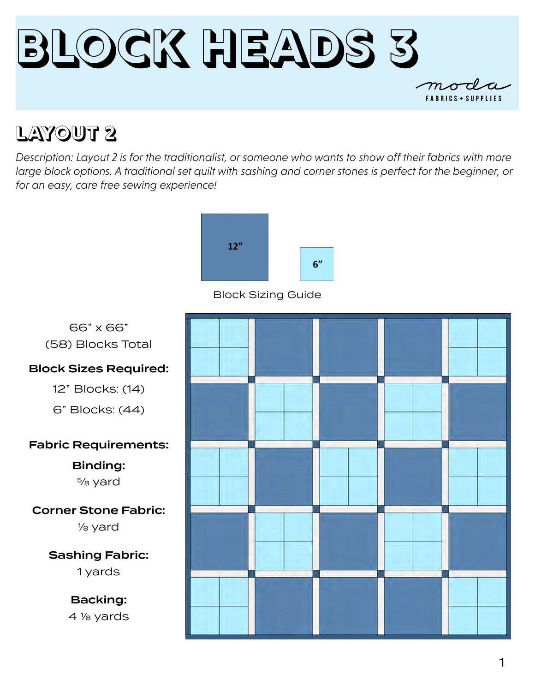

### **LAYOUT 2**

*Description: Layout 2 is for the traditionalist, or someone who wants to show off their fabrics with more*  large block options. A traditional set quilt with sashing and corner stones is perfect for the beginner, or *for an easy, care free sewing experience!* 



Block Sizing Guide